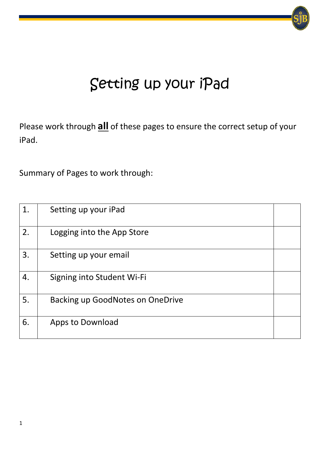# Setting up your iPad

Please work through **all** of these pages to ensure the correct setup of your iPad.

Summary of Pages to work through:

| 1. | Setting up your iPad                    |  |
|----|-----------------------------------------|--|
| 2. | Logging into the App Store              |  |
| 3. | Setting up your email                   |  |
| 4. | Signing into Student Wi-Fi              |  |
| 5. | <b>Backing up GoodNotes on OneDrive</b> |  |
| 6. | Apps to Download                        |  |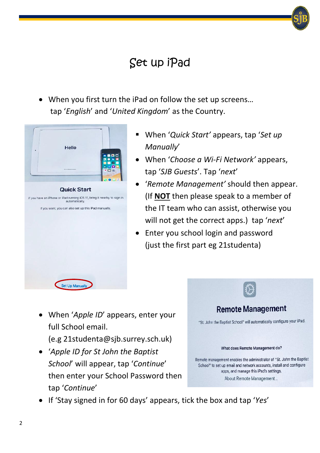### Set up iPad

• When you first turn the iPad on follow the set up screens… tap '*English*' and '*United Kingdom*' as the Country.



- When '*Quick Start'* appears, tap '*Set up Manually*'
- When '*Choose a Wi-Fi Network'* appears, tap '*SJB Guests*'. Tap '*next*'
- '*Remote Management'* should then appear. (If **NOT** then please speak to a member of the IT team who can assist, otherwise you will not get the correct apps.) tap '*next*'
- Enter you school login and password (just the first part eg 21studenta)

• When '*Apple ID*' appears, enter your full School email.

(e.g 21studenta@sjb.surrey.sch.uk)

• '*Apple ID for St John the Baptist School*' will appear, tap '*Continue*' then enter your School Password then tap '*Continue*'



• If 'Stay signed in for 60 days' appears, tick the box and tap '*Yes*'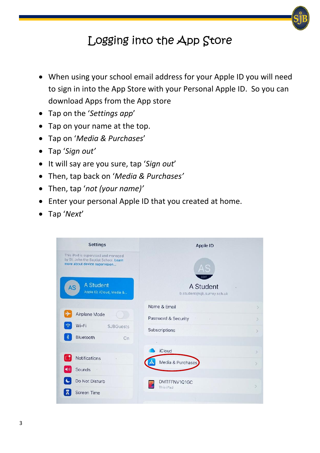#### Logging into the App Store

- When using your school email address for your Apple ID you will need to sign in into the App Store with your Personal Apple ID. So you can download Apps from the App store
- Tap on the '*Settings app*'
- Tap on your name at the top.
- Tap on '*Media & Purchases*'
- Tap '*Sign out'*
- It will say are you sure, tap '*Sign out*'
- Then, tap back on '*Media & Purchases'*
- Then, tap '*not (your name)'*
- Enter your personal Apple ID that you created at home.
- Tap '*Next*'

| <b>Settings</b>                                                                                               | Apple ID                                         |  |  |  |
|---------------------------------------------------------------------------------------------------------------|--------------------------------------------------|--|--|--|
| This iPad is supervised and managed<br>by St. John the Baptist School. Learn<br>more about device supervision |                                                  |  |  |  |
| <b>A</b> Student<br><b>AS</b><br>Apple ID, iCloud, Media &                                                    | A Student<br>b.student@sjb.surrey.sch.uk         |  |  |  |
|                                                                                                               | Name & Email                                     |  |  |  |
| Airplane Mode                                                                                                 | Password & Security<br>$\mathcal{P}$<br>$\alpha$ |  |  |  |
| Wi-Fi<br><b>SJBGuests</b>                                                                                     | Subscriptions<br>$\geq$                          |  |  |  |
| $\ast$<br>Bluetooth<br>On                                                                                     |                                                  |  |  |  |
|                                                                                                               | <b>iCloud</b><br>$\rightarrow$                   |  |  |  |
| Notifications                                                                                                 | Media & Purchases<br>$\mathcal{P}$               |  |  |  |
| Sounds<br>o,                                                                                                  |                                                  |  |  |  |
| Do Not Disturb                                                                                                | DMTFFNV1Q1GC                                     |  |  |  |
| <b>Screen Time</b>                                                                                            | This iPad                                        |  |  |  |
|                                                                                                               |                                                  |  |  |  |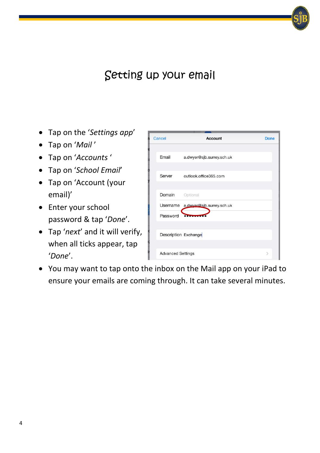#### Setting up your email

- Tap on the '*Settings app*'
- Tap on '*Mail* '
- Tap on '*Accounts* '
- Tap on '*School Email*'
- Tap on 'Account (your email)'
- Enter your school password & tap '*Done*'.
- Tap '*next*' and it will verify, when all ticks appear, tap '*Done*'.

| Cancel                   | Account                            | Done          |
|--------------------------|------------------------------------|---------------|
| Email                    | a.dwyer@sjb.surrey.sch.uk          |               |
| Server                   | outlook.office365.com              |               |
| Domain                   | Optional                           |               |
| Password                 | Username a.dwyer@sib.surrey.sch.uk |               |
|                          |                                    |               |
|                          | Description Exchange               |               |
| <b>Advanced Settings</b> |                                    | $\mathcal{P}$ |

• You may want to tap onto the inbox on the Mail app on your iPad to ensure your emails are coming through. It can take several minutes.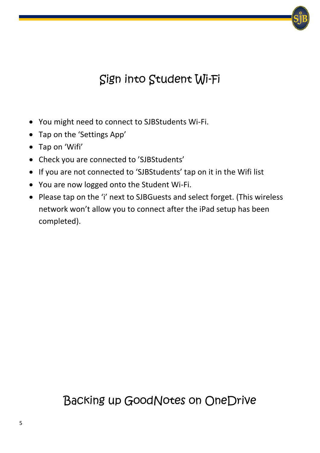## Sign into Student Wi-Fi

- You might need to connect to SJBStudents Wi-Fi.
- Tap on the 'Settings App'
- Tap on 'Wifi'
- Check you are connected to 'SJBStudents'
- If you are not connected to 'SJBStudents' tap on it in the Wifi list
- You are now logged onto the Student Wi-Fi.
- Please tap on the 'i' next to SJBGuests and select forget. (This wireless network won't allow you to connect after the iPad setup has been completed).

## Backing up GoodNotes on OneDrive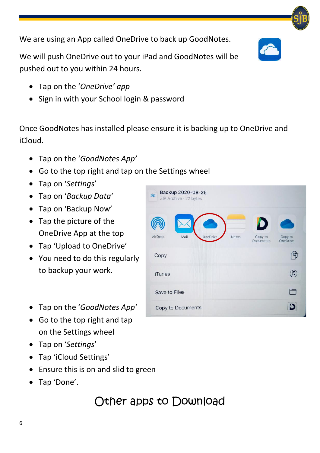We are using an App called OneDrive to back up GoodNotes.

We will push OneDrive out to your iPad and GoodNotes will be pushed out to you within 24 hours.

- Tap on the '*OneDrive' app*
- Sign in with your School login & password

Once GoodNotes has installed please ensure it is backing up to OneDrive and iCloud.

- Tap on the '*GoodNotes App'*
- Go to the top right and tap on the Settings wheel
- Tap on '*Settings*'
- Tap on '*Backup Data'*
- Tap on 'Backup Now'
- Tap the picture of the OneDrive App at the top
- Tap 'Upload to OneDrive'
- You need to do this regularly to backup your work.
- Tap on the '*GoodNotes App'*
- Go to the top right and tap on the Settings wheel
- Tap on '*Settings*'
- Tap 'iCloud Settings'
- Ensure this is on and slid to green
- Tap 'Done'.

#### Other apps to Download

| Backup 2020-08-25<br>zip<br>ZIP Archive - 22 bytes |       |                      |                            |
|----------------------------------------------------|-------|----------------------|----------------------------|
|                                                    |       |                      |                            |
| OneDrive<br>AirDrop<br>Mail                        | Notes | Copy to<br>Documents | Copy to<br><b>OneDrive</b> |
| Copy                                               |       |                      |                            |
| <b>iTunes</b>                                      |       |                      |                            |
| Save to Files                                      |       |                      |                            |
| Copy to Documents                                  |       |                      |                            |